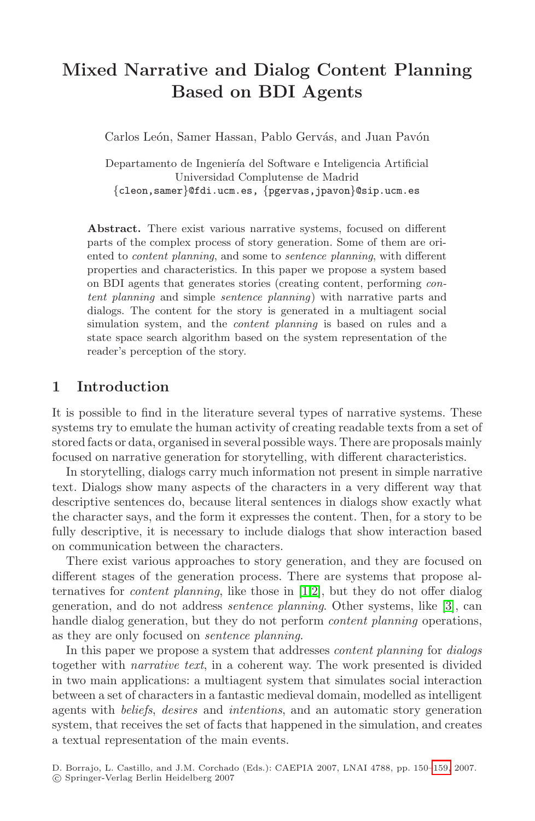# **Mixed Narrative and Dialog Content Planning Based on BDI Agents**

Carlos León, Samer Hassan, Pablo Gervás, and Juan Pavón

Departamento de Ingeniería del Software e Inteligencia Artificial Universidad Complutense de Madrid *{*cleon,samer*}*@fdi.ucm.es, *{*pgervas,jpavon*}*@sip.ucm.es

**Abstract.** There exist various narrative systems, focused on different parts of the complex process of story generation. Some of them are oriented to *content planning*, and some to *sentence planning*, with different properties and characteristics. In this paper we propose a system based on BDI agents that generates stories (creating content, performing *content planning* and simple *sentence planning*) with narrative parts and dialogs. The content for the story is generated in a multiagent social simulation system, and the *content planning* is based on rules and a state space search algorithm based on the system representation of the reader's perception of the story.

# **1 Introduction**

It is possible to find in the literature several types of narrative systems. These systems try to emulate the human activity of creating readable texts from a set of stored facts or data, organised in several possible ways. There are proposals mainly focused on narrative generation for storytelling, with different characteristics.

In storytelling, dialogs c[ar](#page-9-0)[ry](#page-9-1) much information not present in simple narrative text. Dialogs show many aspects of the characters in [a](#page-9-2) very different way that descriptive sentences do, because literal sentences in dialogs show exactly what the character says, and the form it expresses the content. Then, for a story to be fully descriptive, it is necessary to include dialogs that show interaction based on communication between the characters.

There exist various approaches to story generation, and they are focused on different stages of the generation process. There are systems that propose alternatives for *content planning*, like those in [1,2], but they do not offer dialog generation, and do not address *sentence planning*. Other systems, like [3], can handle dialog generation, but they do not perform *content planning* operations, as they are only focused on *sentence planning*.

In this paper we propose a system that addresses *[con](#page-9-3)tent planning* for *dialogs* together with *narrative text*, in a coherent way. The work presented is divided in two main applications: a multiagent system that simulates social interaction between a set of characters in a fantastic medieval domain, modelled as intelligent agents with *beliefs*, *desires* and *intentions*, and an automatic story generation system, that receives the set of facts that happened in the simulation, and creates a textual representation of the main events.

D. Borrajo, L. Castillo, and J.M. Corchado (Eds.): CAEPIA 2007, LNAI 4788, pp. 150–159, 2007. -c Springer-Verlag Berlin Heidelberg 2007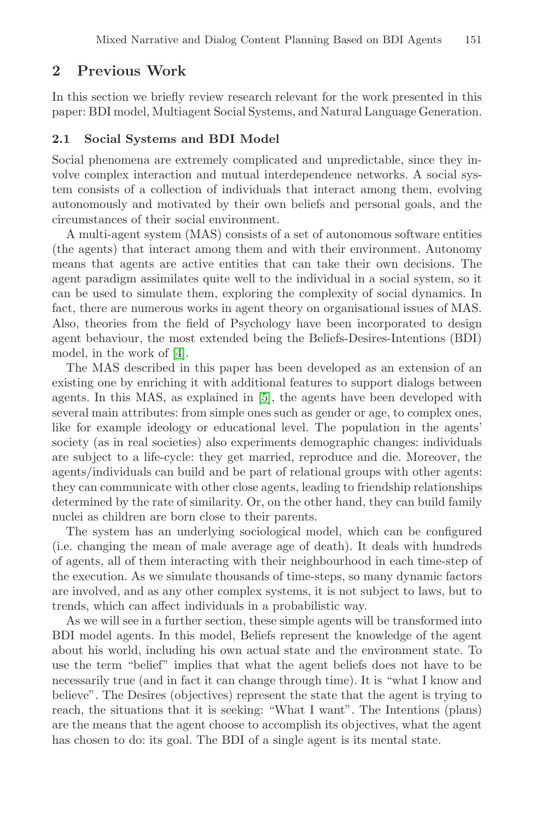# <span id="page-1-0"></span>**2 Previous Work**

In this section we briefly review research relevant for the work presented in this paper: BDI model, Multiagent Social Systems, and Natural Language Generation.

# **2.1 Social Systems and BDI Model**

Social phenomena are extremely complicated and unpredictable, since they involve complex interaction and mutual interdependence networks. A social system consists of a collection of individuals that interact among them, evolving autonomously and motivated by their own beliefs and personal goals, and the circumstances of their social environment.

[A m](#page-9-4)ulti-agent system (MAS) consists of a set of autonomous software entities (the agents) that interact among them and with their environment. Autonomy means that agents are active entities that can take their own decisions. The agent paradigm ass[im](#page-9-5)ilates quite well to the individual in a social system, so it can be used to simulate them, exploring the complexity of social dynamics. In fact, there are numerous works in agent theory on organisational issues of MAS. Also, theories from the field of Psychology have been incorporated to design agent behaviour, the most extended being the Beliefs-Desires-Intentions (BDI) model, in the work of [4].

The MAS described in this paper has been developed as an extension of an existing one by enriching it with additional features to support dialogs between agents. In this MAS, as explained in [5], the agents have been developed with several main attributes: from simple ones such as gender or age, to complex ones, like for example ideology or educational level. The population in the agents' society (as in real societies) also experiments demographic changes: individuals are subject to a life-cycle: they get married, reproduce and die. Moreover, the agents/individuals can build and be part of relational groups with other agents: they can communicate with other close agents, leading to friendship relationships determined by the rate of similarity. Or, on the other hand, they can build family nuclei as children are born close to their parents.

The system has an underlying sociological model, which can be configured (i.e. changing the mean of male average age of death). It deals with hundreds of agents, all of them interacting with their neighbourhood in each time-step of the execution. As we simulate thousands of time-steps, so many dynamic factors are involved, and as any other complex systems, it is not subject to laws, but to trends, which can affect individuals in a probabilistic way.

As we will see in a further section, these simple agents will be transformed into BDI model agents. In this model, Beliefs represent the knowledge of the agent about his world, including his own actual state and the environment state. To use the term "belief" implies that what the agent beliefs does not have to be necessarily true (and in fact it can change through time). It is "what I know and believe". The Desires (objectives) represent the state that the agent is trying to reach, the situations that it is seeking: "What I want". The Intentions (plans) are the means that the agent choose to accomplish its objectives, what the agent has chosen to do: its goal. The BDI of a single agent is its mental state.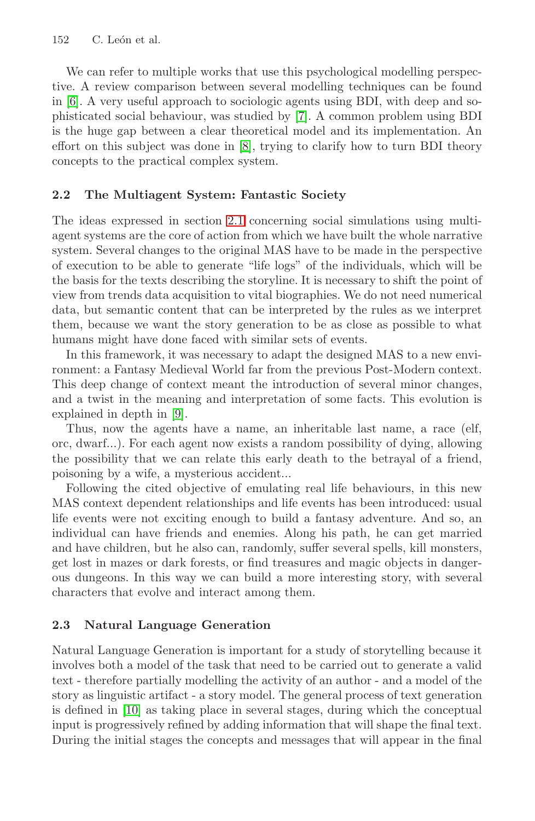152 C. León [et](#page-9-6) al.

We can refer to multiple works that use this psychological modelling perspective. A review comparison between several modelling techniques can be found in [6]. A very [use](#page-1-0)ful approach to sociologic agents using BDI, with deep and sophisticated social behaviour, was studied by [7]. A common problem using BDI is the huge gap between a clear theoretical model and its implementation. An effort on this subject was done in [8], trying to clarify how to turn BDI theory concepts to the practical complex system.

#### **2.2 The Multiagent System: Fantastic Society**

The ideas expressed in section 2.1 concerning social simulations using multiagent systems are the core of action from which we have built the whole narrative system. Several changes to the original MAS have to be made in the perspective of execution to be able to generate "life logs" of the individuals, which will be the basis for the texts describing the storyline. It is necessary to shift the point of vie[w f](#page-9-7)rom trends data acquisition to vital biographies. We do not need numerical data, but semantic content that can be interpreted by the rules as we interpret them, because we want the story generation to be as close as possible to what humans might have done faced with similar sets of events.

In this framework, it was necessary to adapt the designed MAS to a new environment: a Fantasy Medieval World far from the previous Post-Modern context. This deep change of context meant the introduction of several minor changes, and a twist in the meaning and interpretation of some facts. This evolution is explained in depth in [9].

Thus, now the agents have a name, an inheritable last name, a race (elf, orc, dwarf...). For each agent now exists a random possibility of dying, allowing the possibility that we can relate this early death to the betrayal of a friend, poisoning by a wife, a mysterious accident...

Following the cited objective of emulating real life behaviours, in this new MAS context dependent relationships and life events has been introduced: usual life events were not exciting enough to build a fantasy adventure. And so, an individual can have friends and enemies. Along his path, he can get married and have children, but he also can, randomly, suffer several spells, kill monsters, get lost in mazes or dark forests, or find treasures and magic objects in dangerous dungeons. In this way we can build a more interesting story, with several characters that evolve and interact among them.

#### **2.3 Natural Language Generation**

Natural Language Generation is important for a study of storytelling because it involves both a model of the task that need to be carried out to generate a valid text - therefore partially modelling the activity of an author - and a model of the story as linguistic artifact - a story model. The general process of text generation is defined in [10] as taking place in several stages, during which the conceptual input is progressively refined by adding information that will shape the final text. During the initial stages the concepts and messages that will appear in the final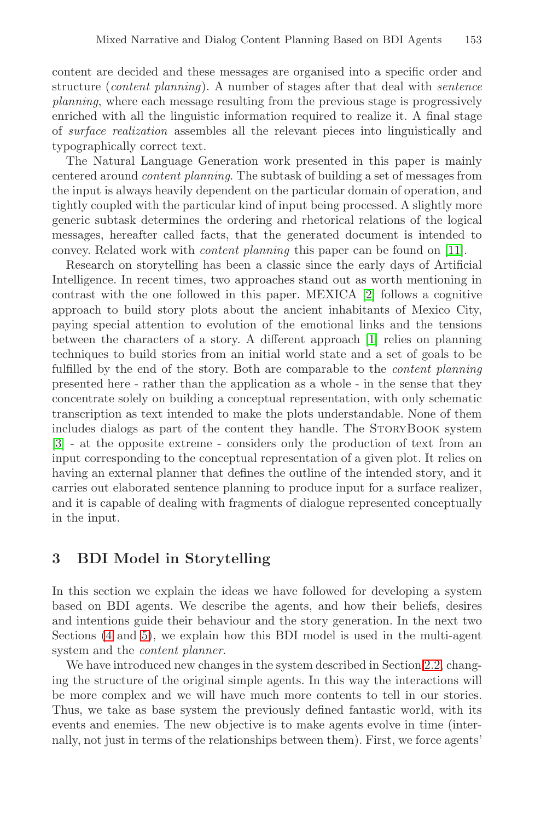content are decided and these messages are organised into a specific order and structure (*content planning*). A number of stages after that deal with *sentence planning*, where each message resulting from the previous stage is progressively enriched with all the linguistic information required to realize it. A final stage of *surface realization* assembles all the relevant pie[ces](#page-9-8) into linguistically and typographically correct text.

The Natural Language Generation work presented in this paper is mainly centered around *content planning*. The [su](#page-9-1)btask of building a set of messages from the input is always heavily dependent on the particular domain of operation, and tightly coupled with the particular kind of input being processed. A slightly more generic subtask determines the orderi[ng](#page-9-0) and rhetorical relations of the logical messages, hereafter called facts, that the generated document is intended to convey. Related work with *content planning* this paper can be found on [11].

Research on storytelling has been a classic since the early days of Artificial Intelligence. In recent times, two approaches stand out as worth mentioning in contrast with the one followed in this paper. MEXICA [2] follows a cognitive approach to build story plots about the ancient inhabitants of Mexico City, paying special attention to evolution of the emotional links and the tensions between the characters of a story. A different approach [1] relies on planning techniques to build stories from an initial world state and a set of goals to be fulfilled by the end of the story. Both are comparable to the *content planning* presented here - rather than the application as a whole - in the sense that they concentrate solely on building a conceptual representation, with only schematic transcription as text intended to make the plots understandable. None of them includes dialogs as part of the content they handle. The StoryBook system [3] - at the opposite extreme - considers only the production of text from an input corresponding to the conceptual representation of a given plot. It relies on having an external planner that defines the outline of the intended story, and it carries out elaborated sentence planning to produce input for a surface realizer, and it is capable of dealing with fragments of dialogue represented conceptually in the input.

# <span id="page-3-0"></span>**3 BDI Model in Storytelling**

In this section we explain the ideas we have followed for developing a system based on BDI agents. We describe the agents, and how their beliefs, desires and intentions guide their behaviour and the story generation. In the next two Sections (4 and 5), we explain how this BDI model is used in the multi-agent system and the *content planner*.

We have introduced new changes in the system described in Section 2.2, changing the structure of the original simple agents. In this way the interactions will be more complex and we will have much more contents to tell in our stories. Thus, we take as base system the previously defined fantastic world, with its events and enemies. The new objective is to make agents evolve in time (internally, not just in terms of the relationships between them). First, we force agents'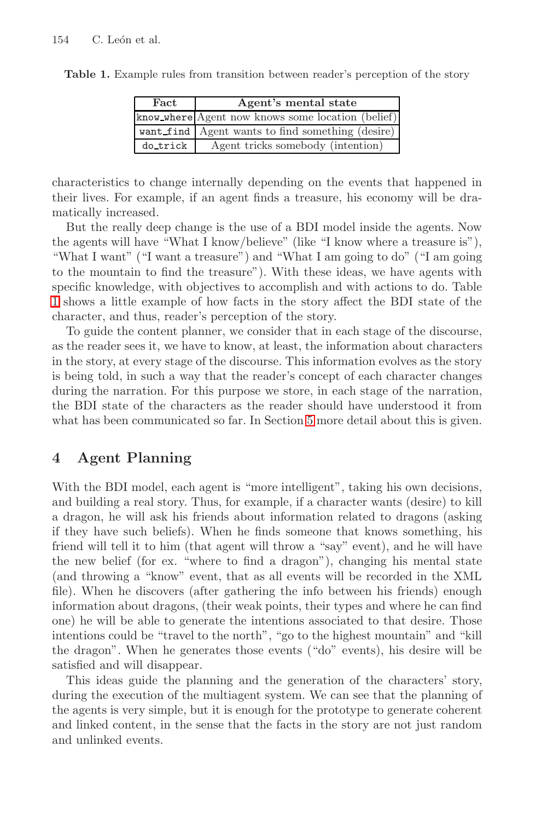#### 154 C. León et al.

**Table 1.** Example rules from transition between reader's perception of the story

| Fact     | Agent's mental state                              |
|----------|---------------------------------------------------|
|          | know where Agent now knows some location (belief) |
|          | want find Agent wants to find something (desire)  |
| do_trick | Agent tricks somebody (intention)                 |

characteristics to change internally depending on the events that happened in their lives. For example, if an agent finds a treasure, his economy will be dramatically increased.

But the really deep change is the use of a BDI model inside the agents. Now the agents will have "What I know/believe" (like "I know where a treasure is"), "What I want" ("I want a treasure") and "What I am going to do" ("I am going to the mountain to find the treasure"). With these ideas, we have agents with specific knowledge, with objectives to accomplish and with actions to do. Table 1 shows a little example of [h](#page-5-0)ow facts in the story affect the BDI state of the character, and thus, reader's perception of the story.

To guide the content planner, we consider that in each stage of the discourse, as the reader sees it, we have to know, at least, the information about characters in the story, at every stage of the discourse. This information evolves as the story is being told, in such a way that the reader's concept of each character changes during the narration. For this purpose we store, in each stage of the narration, the BDI state of the characters as the reader should have understood it from what has been communicated so far. In Section 5 more detail about this is given.

# **4 Agent Planning**

With the BDI model, each agent is "more intelligent", taking his own decisions, and building a real story. Thus, for example, if a character wants (desire) to kill a dragon, he will ask his friends about information related to dragons (asking if they have such beliefs). When he finds someone that knows something, his friend will tell it to him (that agent will throw a "say" event), and he will have the new belief (for ex. "where to find a dragon"), changing his mental state (and throwing a "know" event, that as all events will be recorded in the XML file). When he discovers (after gathering the info between his friends) enough information about dragons, (their weak points, their types and where he can find one) he will be able to generate the intentions associated to that desire. Those intentions could be "travel to the north", "go to the highest mountain" and "kill the dragon". When he generates those events ("do" events), his desire will be satisfied and will disappear.

This ideas guide the planning and the generation of the characters' story, during the execution of the multiagent system. We can see that the planning of the agents is very simple, but it is enough for the prototype to generate coherent and linked content, in the sense that the facts in the story are not just random and unlinked events.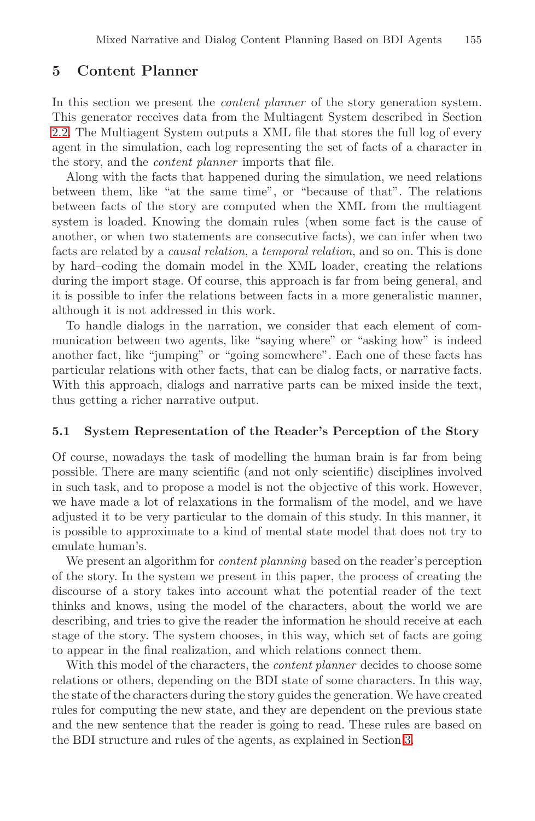# <span id="page-5-0"></span>**5 Content Planner**

In this section we present the *content planner* of the story generation system. This generator receives data from the Multiagent System described in Section 2.2. The Multiagent System outputs a XML file that stores the full log of every agent in the simulation, each log representing the set of facts of a character in the story, and the *content planner* imports that file.

Along with the facts that happened during the simulation, we need relations between them, like "at the same time", or "because of that". The relations between facts of the story are computed when the XML from the multiagent system is loaded. Knowing the domain rules (when some fact is the cause of another, or when two statements are consecutive facts), we can infer when two facts are related by a *causal relation*, a *temporal relation*, and so on. This is done by hard–coding the domain model in the XML loader, creating the relations during the import stage. Of course, this approach is far from being general, and it is possible to infer the relations between facts in a more generalistic manner, although it is not addressed in this work.

To handle dialogs in the narration, we consider that each element of communication between two agents, like "saying where" or "asking how" is indeed another fact, like "jumping" or "going somewhere". Each one of these facts has particular relations with other facts, that can be dialog facts, or narrative facts. With this approach, dialogs and narrative parts can be mixed inside the text, thus getting a richer narrative output.

#### **5.1 System Representation of the Reader's Perception of the Story**

Of course, nowadays the task of modelling the human brain is far from being possible. There are many scientific (and not only scientific) disciplines involved in such task, and to propose a model is not the objective of this work. However, we have made a lot of relaxations in the formalism of the model, and we have adjusted it to be very particular to the domain of this study. In this manner, it is possible to approximate to a kind of mental state model that does not try to emulate human's.

We present an algorithm for *content planning* based on the reader's perception of the story. In the system we present in this paper, the process of creating the discourse of a story takes into account what the potential reader of the text thinks and knows, using the model of the characters, about the world we are describing, and tries to give the reader the inf[orm](#page-3-0)ation he should receive at each stage of the story. The system chooses, in this way, which set of facts are going to appear in the final realization, and which relations connect them.

With this model of the characters, the *content planner* decides to choose some relations or others, depending on the BDI state of some characters. In this way, the state of the characters during the story guides the generation. We have created rules for computing the new state, and they are dependent on the previous state and the new sentence that the reader is going to read. These rules are based on the BDI structure and rules of the agents, as explained in Section 3.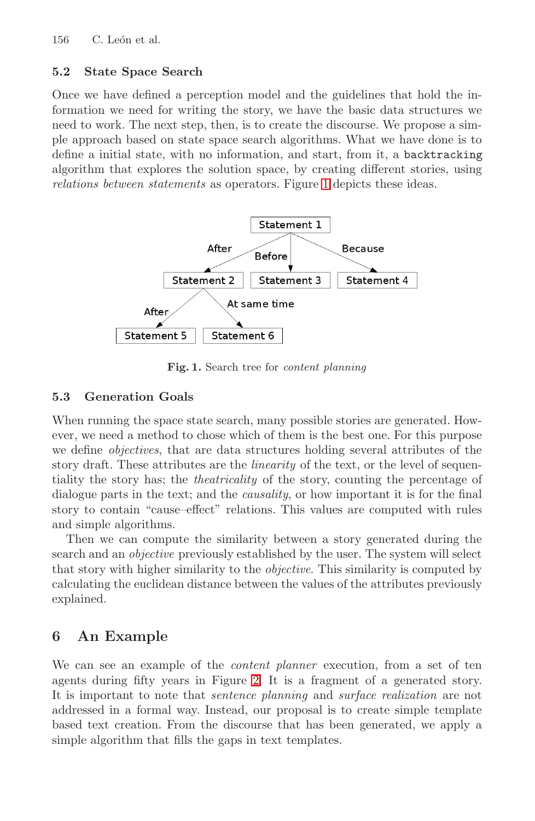156 C. León et al.

#### **5.2 State Space Search**

Once we have defined a perception model and the guidelines that hold the information we need for writing the story, we have the basic data structures we need to work. The next step, then, is to create the discourse. We propose a simple approach based on state space search algorithms. What we have done is to define a initial state, with no information, and start, from it, a backtracking algorithm that explores the solution space, by creating different stories, using *relations between statements* as operators. Figure 1 depicts these ideas.



**Fig. 1.** Search tree for *content planning*

### **5.3 Generation Goals**

When running the space state search, many possible stories are generated. However, we need a method to chose which of them is the best one. For this purpose we define *objectives*, that are data structures holding several attributes of the story draft. These attributes are the *linearity* of the text, or the level of sequentiality the story has; the *theatricality* of the story, counting the percentage of dialogue parts in the text; and the *causality*, or how important it is for the final story to contain "cause–effect" relations. This values are computed with rules and simple algorithms.

Then we can compute the similarity between a story generated during the search and an *objective* previously established by the user. The system will select that story with hi[gh](#page-7-0)er similarity to the *objective*. This similarity is computed by calculating the euclidean distance between the values of the attributes previously explained.

### **6 An Example**

We can see an example of the *content planner* execution, from a set of ten agents during fifty years in Figure 2. It is a fragment of a generated story. It is important to note that *sentence planning* and *surface realization* are not addressed in a formal way. Instead, our proposal is to create simple template based text creation. From the discourse that has been generated, we apply a simple algorithm that fills the gaps in text templates.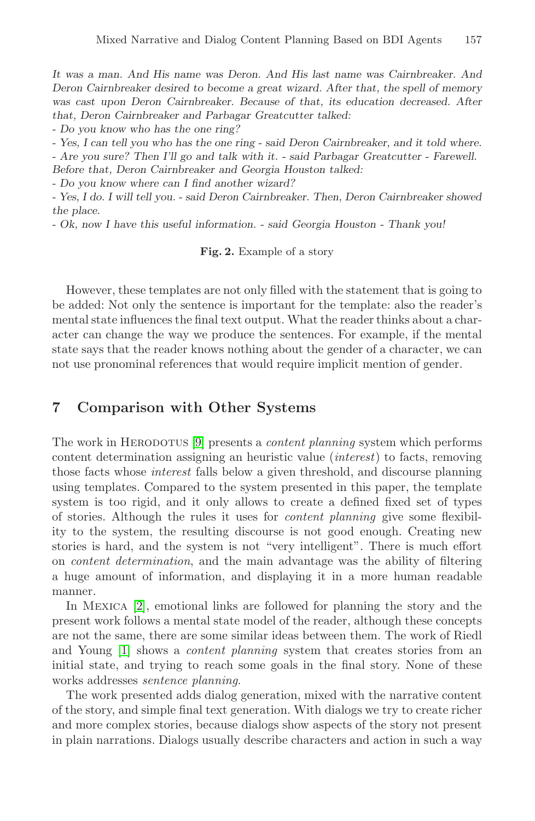*It was a man. And His name was Deron. And His last name was Cairnbreaker. And Deron Cairnbreaker desired to become a great wizard. After that, the spell of memory was cast upon Deron Cairnbreaker. Because of that, its education decreased. After that, Deron Cairnbreaker and Parbagar Greatcutter talked:*

*- Do you know who has the one ring?*

<span id="page-7-0"></span>*- Yes, I can tell you who has the one ring - said Deron Cairnbreaker, and it told where.*

*- Are you sure? Then I'll go and talk with it. - said Parbagar Greatcutter - Farewell.*

*Before that, Deron Cairnbreaker and Georgia Houston talked:*

*- Do you know where can I find another wizard?*

*- Yes, I do. I will tell you. - said Deron Cairnbreaker. Then, Deron Cairnbreaker showed the place.*

*- Ok, now I have this useful information. - said Georgia Houston - Thank you!*

#### **Fig. 2.** Example of a story

<span id="page-7-1"></span>However, these templates are not only filled with the statement that is going to be added: Not only the sentence is important for the template: also the reader's mental state influences the final text output. What the reader thinks about a character c[an](#page-9-7) change the way we produce the sentences. For example, if the mental state says that the reader knows nothing about the gender of a character, we can not use pronominal references that would require implicit mention of gender.

# **7 Comparison with Other Systems**

The work in HERODOTUS [9] presents a *content planning* system which performs content determination assigning an heuristic value (*interest*) to facts, removing those facts whose *interest* falls below a given threshold, and discourse planning using templates. Compared to the system presented in this paper, the template system is too rigid, and it only allows to create a defined fixed set of types of stories. Although the rules it uses for *content planning* give some flexibility to the system, the resulting discourse is not good enough. Creating new stories is hard, and the system is not "very intelligent". There is much effort on *content determination*, and the main advantage was the ability of filtering a huge amount of information, and displaying it in a more human readable manner.

In MEXICA [2], emotional links are followed for planning the story and the present work follows a mental state model of the reader, although these concepts are not the same, there are some similar ideas between them. The work of Riedl and Young [1] shows a *content planning* system that creates stories from an initial state, and trying to reach some goals in the final story. None of these works addresses *sentence planning*.

The work presented adds dialog generation, mixed with the narrative content of the story, and simple final text generation. With dialogs we try to create richer and more complex stories, because dialogs show aspects of the story not present in plain narrations. Dialogs usually describe characters and action in such a way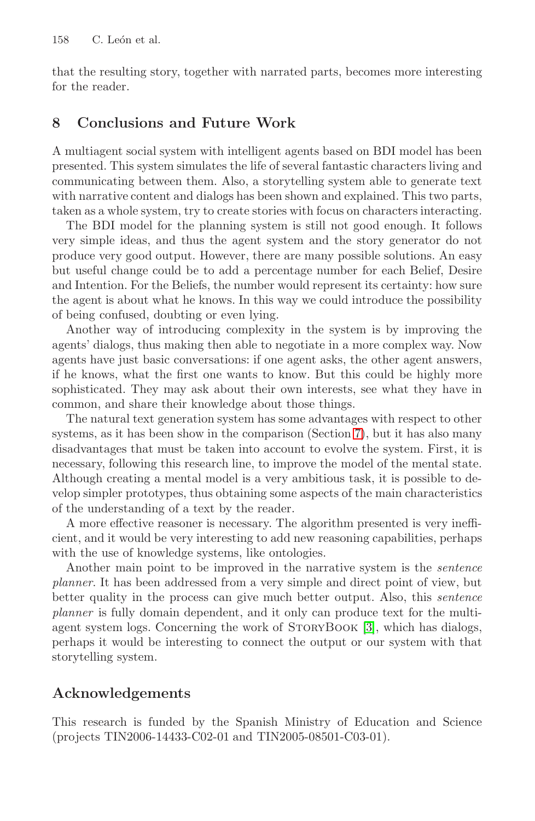158 C. León et al.

that the resulting story, together with narrated parts, becomes more interesting for the reader.

# **8 Conclusions and Future Work**

A multiagent social system with intelligent agents based on BDI model has been presented. This system simulates the life of several fantastic characters living and communicating between them. Also, a storytelling system able to generate text with narrative content and dialogs has been shown and explained. This two parts, taken as a whole system, try to create stories with focus on characters interacting.

The BDI model for the planning system is still not good enough. It follows very simple ideas, and thus the agent system and the story generator do not produce very good output. However, there are many possible solutions. An easy but useful change could be to add a percentage number for each Belief, Desire and Intention. For the Beliefs, the number would represent its certainty: how sure the agent is about what he knows. In this way we could introduce the possibility of being confused, doubting or even [ly](#page-7-1)ing.

Another way of introducing complexity in the system is by improving the agents' dialogs, thus making then able to negotiate in a more complex way. Now agents have just basic conversations: if one agent asks, the other agent answers, if he knows, what the first one wants to know. But this could be highly more sophisticated. They may ask about their own interests, see what they have in common, and share their knowledge about those things.

The natural text generation system has some advantages with respect to other systems, as it has been show in the comparison (Section 7), but it has also many disadvantages that must be taken into account to evolve the system. First, it is necessary, following this research line, to improve the model of the mental state. Although creating a mental model is a very ambitious task, it is possible to develop simpler prototypes, thus obtaining some aspects of the main characteristics of the understanding of a text by the [rea](#page-9-2)der.

A more effective reasoner is necessary. The algorithm presented is very inefficient, and it would be very interesting to add new reasoning capabilities, perhaps with the use of knowledge systems, like ontologies.

Another main point to be improved in the narrative system is the *sentence planner*. It has been addressed from a very simple and direct point of view, but better quality in the process can give much better output. Also, this *sentence planner* is fully domain dependent, and it only can produce text for the multiagent system logs. Concerning the work of StoryBook [3], which has dialogs, perhaps it would be interesting to connect the output or our system with that storytelling system.

### **Acknowledgements**

This research is funded by the Spanish Ministry of Education and Science (projects TIN2006-14433-C02-01 and TIN2005-08501-C03-01).